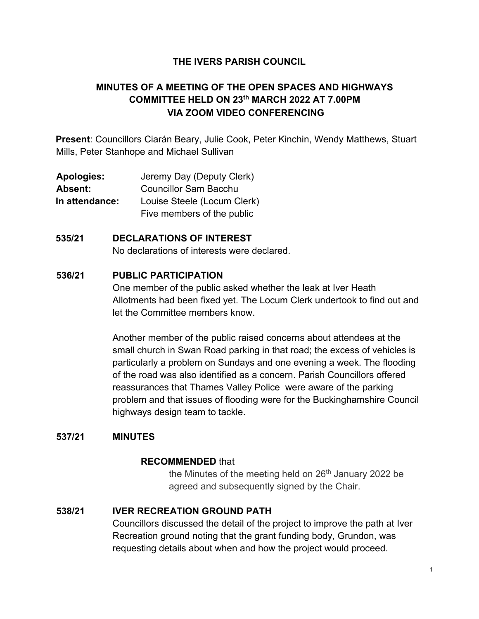## **THE IVERS PARISH COUNCIL**

# **MINUTES OF A MEETING OF THE OPEN SPACES AND HIGHWAYS COMMITTEE HELD ON 23th MARCH 2022 AT 7.00PM VIA ZOOM VIDEO CONFERENCING**

**Present**: Councillors Ciarán Beary, Julie Cook, Peter Kinchin, Wendy Matthews, Stuart Mills, Peter Stanhope and Michael Sullivan

**Apologies:** Jeremy Day (Deputy Clerk) **Absent:** Councillor Sam Bacchu **In attendance:** Louise Steele (Locum Clerk) Five members of the public

### **535/21 DECLARATIONS OF INTEREST**

No declarations of interests were declared.

#### **536/21 PUBLIC PARTICIPATION**

One member of the public asked whether the leak at Iver Heath Allotments had been fixed yet. The Locum Clerk undertook to find out and let the Committee members know.

Another member of the public raised concerns about attendees at the small church in Swan Road parking in that road; the excess of vehicles is particularly a problem on Sundays and one evening a week. The flooding of the road was also identified as a concern. Parish Councillors offered reassurances that Thames Valley Police were aware of the parking problem and that issues of flooding were for the Buckinghamshire Council highways design team to tackle.

#### **537/21 MINUTES**

### **RECOMMENDED** that

the Minutes of the meeting held on  $26<sup>th</sup>$  January 2022 be agreed and subsequently signed by the Chair.

### **538/21 IVER RECREATION GROUND PATH**

Councillors discussed the detail of the project to improve the path at Iver Recreation ground noting that the grant funding body, Grundon, was requesting details about when and how the project would proceed.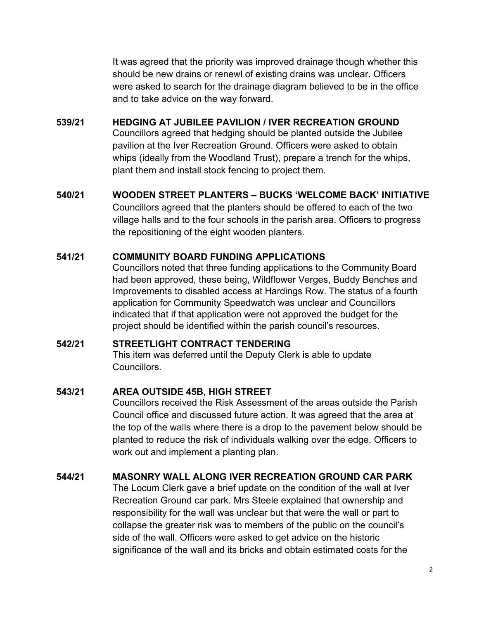It was agreed that the priority was improved drainage though whether this should be new drains or renewl of existing drains was unclear. Officers were asked to search for the drainage diagram believed to be in the office and to take advice on the way forward.

### **539/21 HEDGING AT JUBILEE PAVILION / IVER RECREATION GROUND**

Councillors agreed that hedging should be planted outside the Jubilee pavilion at the Iver Recreation Ground. Officers were asked to obtain whips (ideally from the Woodland Trust), prepare a trench for the whips, plant them and install stock fencing to project them.

## **540/21 WOODEN STREET PLANTERS – BUCKS 'WELCOME BACK' INITIATIVE**

Councillors agreed that the planters should be offered to each of the two village halls and to the four schools in the parish area. Officers to progress the repositioning of the eight wooden planters.

## **541/21 COMMUNITY BOARD FUNDING APPLICATIONS**

Councillors noted that three funding applications to the Community Board had been approved, these being, Wildflower Verges, Buddy Benches and Improvements to disabled access at Hardings Row. The status of a fourth application for Community Speedwatch was unclear and Councillors indicated that if that application were not approved the budget for the project should be identified within the parish council's resources.

### **542/21 STREETLIGHT CONTRACT TENDERING**

This item was deferred until the Deputy Clerk is able to update Councillors.

### **543/21 AREA OUTSIDE 45B, HIGH STREET**

Councillors received the Risk Assessment of the areas outside the Parish Council office and discussed future action. It was agreed that the area at the top of the walls where there is a drop to the pavement below should be planted to reduce the risk of individuals walking over the edge. Officers to work out and implement a planting plan.

### **544/21 MASONRY WALL ALONG IVER RECREATION GROUND CAR PARK**

The Locum Clerk gave a brief update on the condition of the wall at Iver Recreation Ground car park. Mrs Steele explained that ownership and responsibility for the wall was unclear but that were the wall or part to collapse the greater risk was to members of the public on the council's side of the wall. Officers were asked to get advice on the historic significance of the wall and its bricks and obtain estimated costs for the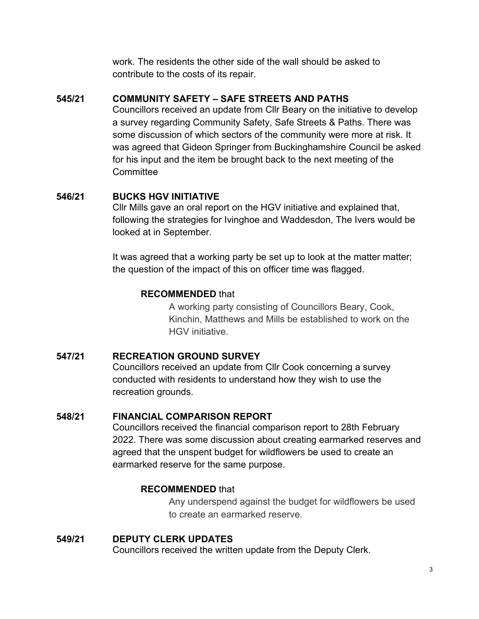work. The residents the other side of the wall should be asked to contribute to the costs of its repair.

## **545/21 COMMUNITY SAFETY – SAFE STREETS AND PATHS**

Councillors received an update from Cllr Beary on the initiative to develop a survey regarding Community Safety, Safe Streets & Paths. There was some discussion of which sectors of the community were more at risk. It was agreed that Gideon Springer from Buckinghamshire Council be asked for his input and the item be brought back to the next meeting of the **Committee** 

## **546/21 BUCKS HGV INITIATIVE**

Cllr Mills gave an oral report on the HGV initiative and explained that, following the strategies for Ivinghoe and Waddesdon, The Ivers would be looked at in September.

It was agreed that a working party be set up to look at the matter matter; the question of the impact of this on officer time was flagged.

## **RECOMMENDED** that

A working party consisting of Councillors Beary, Cook, Kinchin, Matthews and Mills be established to work on the HGV initiative.

## **547/21 RECREATION GROUND SURVEY**

Councillors received an update from Cllr Cook concerning a survey conducted with residents to understand how they wish to use the recreation grounds.

### **548/21 FINANCIAL COMPARISON REPORT**

Councillors received the financial comparison report to 28th February 2022. There was some discussion about creating earmarked reserves and agreed that the unspent budget for wildflowers be used to create an earmarked reserve for the same purpose.

## **RECOMMENDED** that

Any underspend against the budget for wildflowers be used to create an earmarked reserve.

# **549/21 DEPUTY CLERK UPDATES**

Councillors received the written update from the Deputy Clerk.